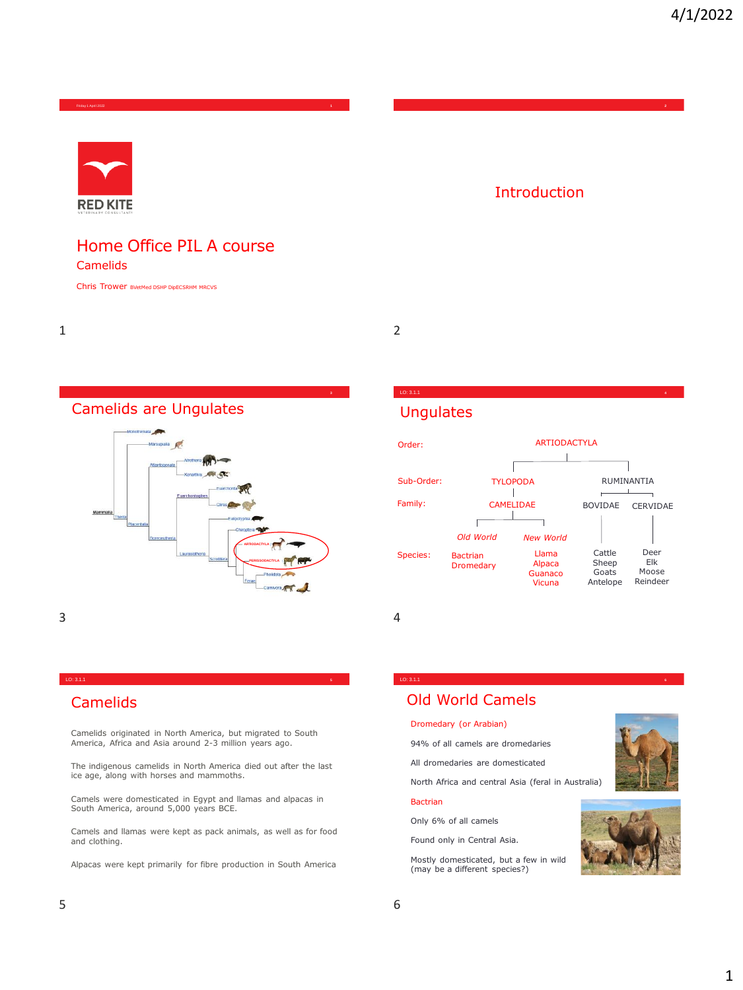Friday 1 April 2022 **1**



## Home Office PIL A course

Camelids

Chris Trower BVetMed DSHP DipECSRHM MRCVS

1 2





## Camelids

Camelids originated in North America, but migrated to South America, Africa and Asia around 2-3 million years ago.

LO: 3.1.1 **<sup>5</sup>**

The indigenous camelids in North America died out after the last ice age, along with horses and mammoths.

Camels were domesticated in Egypt and llamas and alpacas in South America, around 5,000 years BCE.

Camels and llamas were kept as pack animals, as well as for food and clothing.

Alpacas were kept primarily for fibre production in South America

## Introduction

## **Ungulates**



LO: 3.1.1 **<sup>6</sup>**

LO: 3.1.1 **<sup>4</sup>**

## Old World Camels

#### Dromedary (or Arabian)

94% of all camels are dromedaries

All dromedaries are domesticated

North Africa and central Asia (feral in Australia)

#### Bactrian

Only 6% of all camels Found only in Central Asia.

Mostly domesticated, but a few in wild (may be a different species?)



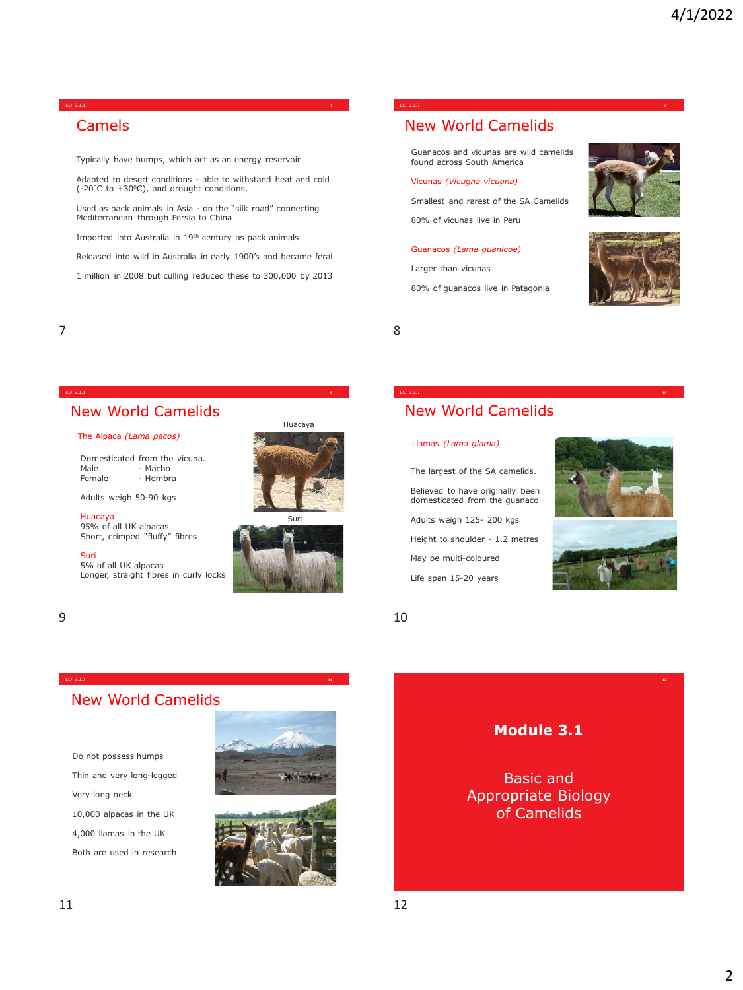#### LO: 3.1.1 **<sup>7</sup>**

## Camels

Typically have humps, which act as an energy reservoir

Adapted to desert conditions - able to withstand heat and cold  $(-20^{\circ}C \text{ to } +30^{\circ}C)$ , and drought conditions.

Used as pack animals in Asia - on the "silk road" connecting Mediterranean through Persia to China

Imported into Australia in 19th century as pack animals

Released into wild in Australia in early 1900's and became feral

1 million in 2008 but culling reduced these to 300,000 by 2013

LO: 3.1.1 **<sup>9</sup>**

LO: 3.1.7 **<sup>11</sup>**

#### LO: 3.1.7 **<sup>8</sup>**

## New World Camelids

Guanacos and vicunas are wild camelids found across South America

#### Vicunas *(Vicugna vicugna)*

Smallest and rarest of the SA Camelids

80% of vicunas live in Peru

#### Guanacos *(Lama guanicoe)*

Larger than vicunas 80% of guanacos live in Patagonia

The largest of the SA camelids. Believed to have originally been domesticated from the guanaco Adults weigh 125- 200 kgs Height to shoulder - 1.2 metres May be multi-coloured Life span 15-20 years

New World Camelids

LO: 3.1.7 **<sup>10</sup>**

Llamas *(Lama glama)*





7 8

#### New World Camelids

#### The Alpaca *(Lama pacos)*

Domesticated from the vicuna.<br>Male - Macho Male - Macho<br>Female - Hembr - Hembra

Adults weigh 50-90 kgs

Huacaya 95% of all UK alpacas Short, crimped "fluffy" fibres

Suri 5% of all UK alpacas Longer, straight fibres in curly locks









 $9 \hspace{2.5cm} 10$ 

### New World Camelids

Do not possess humps Thin and very long-legged Very long neck 10,000 alpacas in the UK 4,000 llamas in the UK Both are used in research





## **Module 3.1**

Basic and Appropriate Biology of Camelids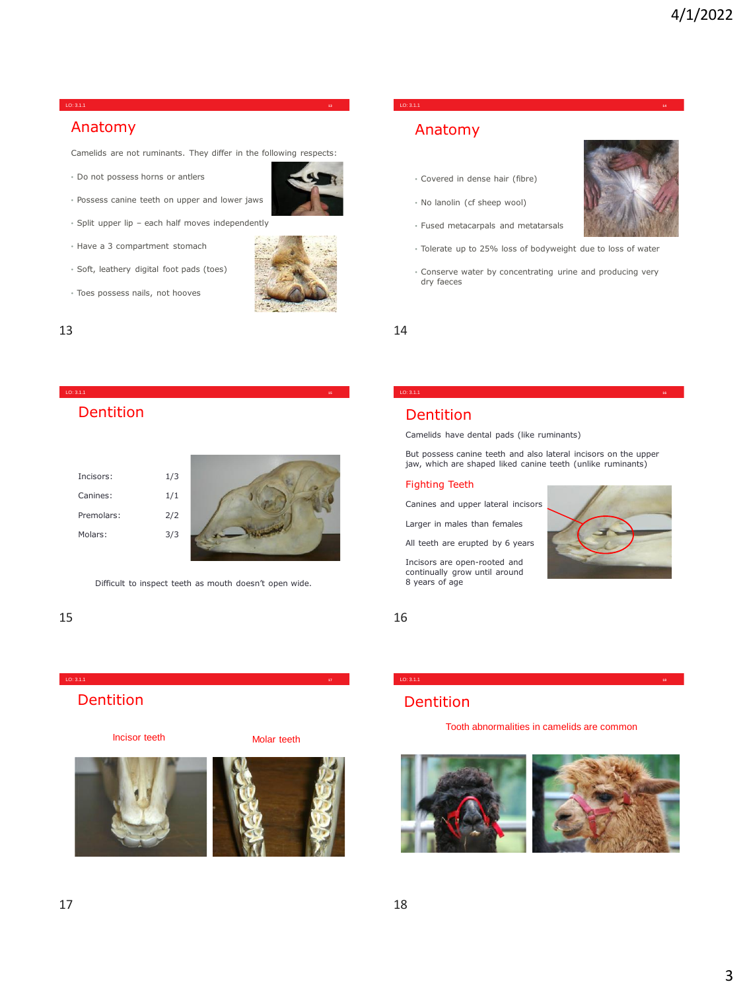#### LO: 3.1.1 **<sup>13</sup>**

### Anatomy

Camelids are not ruminants. They differ in the following respects:

• Do not possess horns or antlers



- Split upper lip each half moves independently
- Have a 3 compartment stomach
- Soft, leathery digital foot pads (toes)
- Toes possess nails, not hooves



## Dentition

| Incisors:  | 1/3 |  |
|------------|-----|--|
| Canines:   | 1/1 |  |
| Premolars: | 2/2 |  |
| Molars:    | 3/3 |  |
|            |     |  |

Difficult to inspect teeth as mouth doesn't open wide.

LO: 3.1.1 **<sup>17</sup>**

LO: 3.1.1 **<sup>15</sup>**

#### $15$  16

## Dentition

Incisor teeth Molar teeth





## LO: 3.1.1 **<sup>14</sup>**

## Anatomy

- Covered in dense hair (fibre)
- No lanolin (cf sheep wool)
- Fused metacarpals and metatarsals
- Tolerate up to 25% loss of bodyweight due to loss of water
- Conserve water by concentrating urine and producing very dry faeces

 $13$  and  $14$ 

#### Dentition

Camelids have dental pads (like ruminants)

But possess canine teeth and also lateral incisors on the upper jaw, which are shaped liked canine teeth (unlike ruminants)

LO: 3.1.1 **<sup>16</sup>**

#### Fighting Teeth

Canines and upper lateral incisors

Larger in males than females

All teeth are erupted by 6 years

Incisors are open-rooted and continually grow until around 8 years of age



### Dentition

Tooth abnormalities in camelids are common

LO: 3.1.1 **<sup>18</sup>**

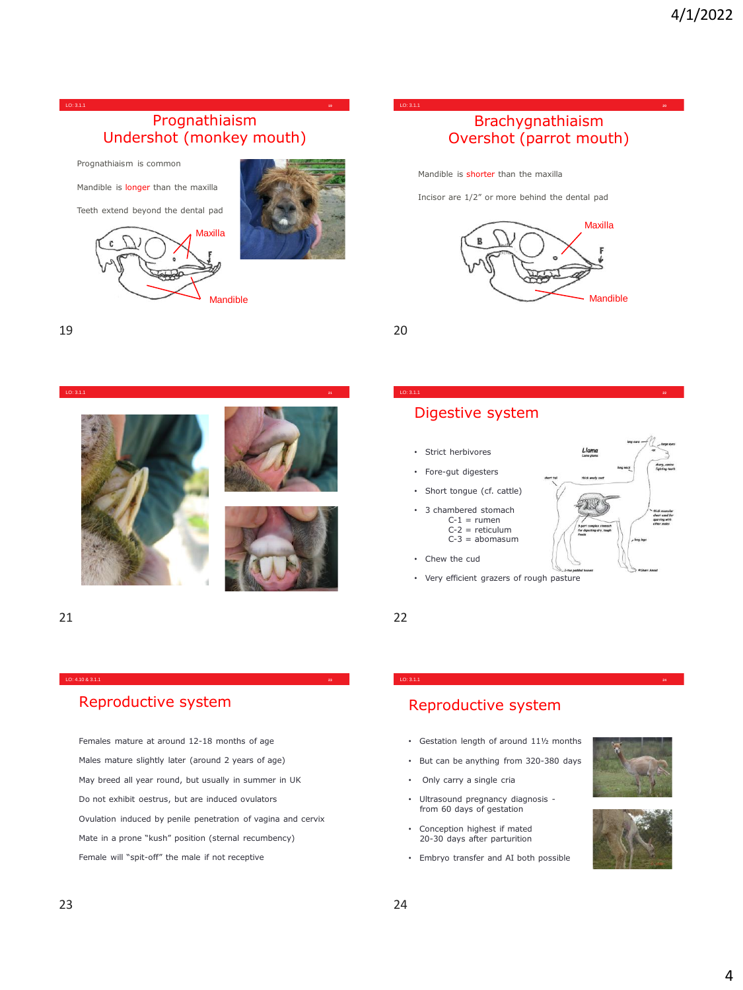

Prognathiaism is common

Mandible is longer than the maxilla

Teeth extend beyond the dental pad





LO: 3.1.1 **<sup>20</sup>**

## Brachygnathiaism Overshot (parrot mouth)

Mandible is shorter than the maxilla

Incisor are 1/2" or more behind the dental pad



LO: 3.1.1 **<sup>22</sup>**

19 20



## Digestive system

- Strict herbivores
- Fore-gut digesters
- Short tongue (cf. cattle)
- 3 chambered stomach
	- $C-1 =$ rumen  $C-2$  = reticulum  $C-3 = abomasum$
- Chew the cud
- Very efficient grazers of rough pasture

21 22

## Reproductive system

Females mature at around 12-18 months of age Males mature slightly later (around 2 years of age) May breed all year round, but usually in summer in UK Do not exhibit oestrus, but are induced ovulators Ovulation induced by penile penetration of vagina and cervix Mate in a prone "kush" position (sternal recumbency) Female will "spit-off" the male if not receptive

LO: 4.10 & 3.1.1 **<sup>23</sup>**

## Reproductive system

• Gestation length of around 11½ months

LO: 3.1.1 **<sup>24</sup>**

- But can be anything from 320-380 days
- Only carry a single cria
- Ultrasound pregnancy diagnosis from 60 days of gestation
- Conception highest if mated 20-30 days after parturition
- Embryo transfer and AI both possible



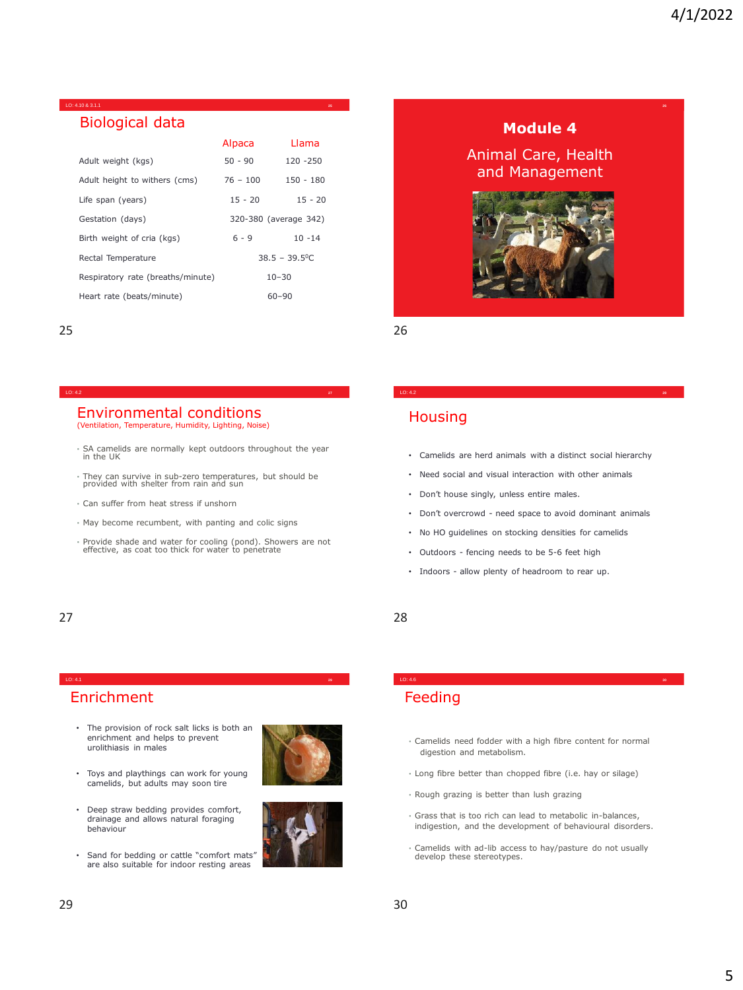**26**

## Biological data

LO: 4.10 & 3.1.1 **<sup>25</sup>**

|                                   | Alpaca     | Llama                   |
|-----------------------------------|------------|-------------------------|
| Adult weight (kgs)                | $50 - 90$  | $120 - 250$             |
| Adult height to withers (cms)     | $76 - 100$ | $150 - 180$             |
| Life span (years)                 | $15 - 20$  | $15 - 20$               |
| Gestation (days)                  |            | 320-380 (average 342)   |
| Birth weight of cria (kgs)        | $6 - 9$    | $10 - 14$               |
| Rectal Temperature                |            | $38.5 - 39.5^{\circ}$ C |
| Respiratory rate (breaths/minute) |            | $10 - 30$               |
| Heart rate (beats/minute)         |            | $60 - 90$               |

25 26

#### LO: 4.2 **<sup>27</sup>**

#### Environmental conditions (Ventilation, Temperature, Humidity, Lighting, Noise)

- SA camelids are normally kept outdoors throughout the year in the UK
- They can survive in sub-zero temperatures, but should be provided with shelter from rain and sun
- Can suffer from heat stress if unshorn
- May become recumbent, with panting and colic signs
- Provide shade and water for cooling (pond). Showers are not effective, as coat too thick for water to penetrate

LO: 4.1 **<sup>29</sup>**

## Enrichment

- The provision of rock salt licks is both an enrichment and helps to prevent urolithiasis in males
- Toys and playthings can work for young camelids, but adults may soon tire
- Deep straw bedding provides comfort, drainage and allows natural foraging behaviour
- Sand for bedding or cattle "comfort mats" are also suitable for indoor resting areas





### **Module 4**

### Animal Care, Health and Management



## **Housing**

• Camelids are herd animals with a distinct social hierarchy

LO: 4.2 **<sup>28</sup>**

- Need social and visual interaction with other animals
- Don't house singly, unless entire males.
- Don't overcrowd need space to avoid dominant animals
- No HO guidelines on stocking densities for camelids
- Outdoors fencing needs to be 5-6 feet high
- Indoors allow plenty of headroom to rear up.

#### 27 28

## Feeding

• Camelids need fodder with a high fibre content for normal digestion and metabolism.

LO: 4.6 **<sup>30</sup>**

- Long fibre better than chopped fibre (i.e. hay or silage)
- Rough grazing is better than lush grazing
- Grass that is too rich can lead to metabolic in-balances, indigestion, and the development of behavioural disorders.
- Camelids with ad-lib access to hay/pasture do not usually develop these stereotypes.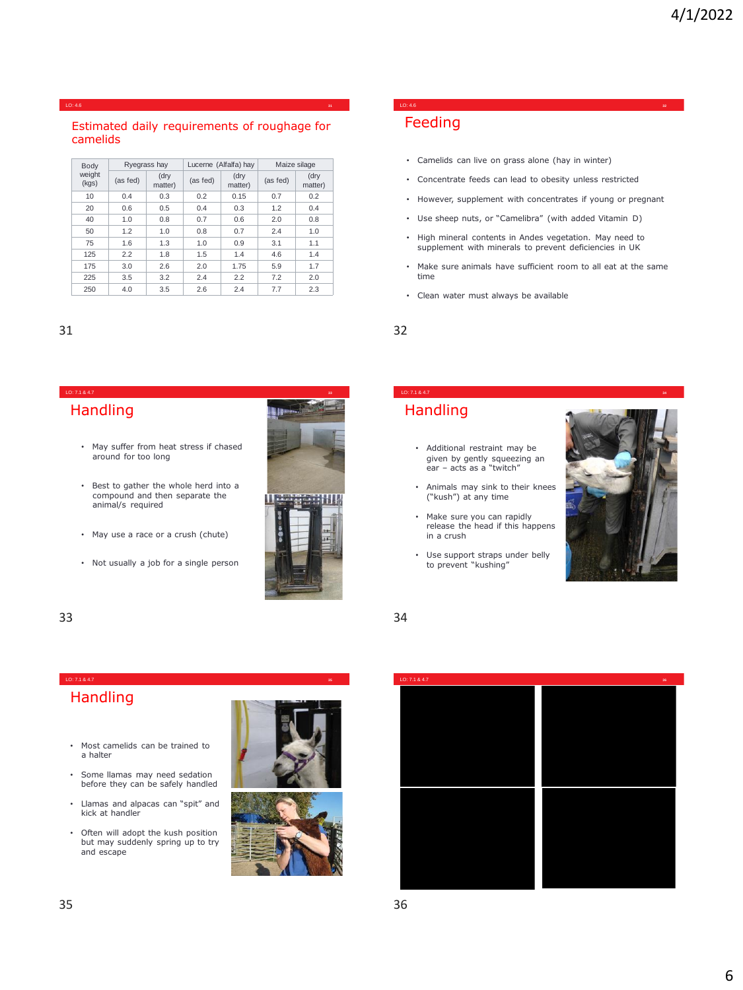#### LO: 4.6 **<sup>31</sup>**

#### Estimated daily requirements of roughage for camelids

| Body            |          | Lucerne (Alfalfa) hay<br>Ryegrass hay |          |                 | Maize silage |                 |
|-----------------|----------|---------------------------------------|----------|-----------------|--------------|-----------------|
| weight<br>(kgs) | (as fed) | (dry<br>matter)                       | (as fed) | (dry<br>matter) | (as fed)     | (dry<br>matter) |
| 10              | 0.4      | 0.3                                   | 0.2      | 0.15            | 0.7          | 0.2             |
| 20              | 0.6      | 0.5                                   | 0.4      | 0.3             | 1.2          | 0.4             |
| 40              | 1.0      | 0.8                                   | 0.7      | 0.6             | 2.0          | 0.8             |
| 50              | 1.2      | 1.0                                   | 0.8      | 0.7             | 2.4          | 1.0             |
| 75              | 1.6      | 1.3                                   | 1.0      | 0.9             | 3.1          | 1.1             |
| 125             | 2.2      | 1.8                                   | 1.5      | 1.4             | 4.6          | 1.4             |
| 175             | 3.0      | 2.6                                   | 2.0      | 1.75            | 5.9          | 1.7             |
| 225             | 3.5      | 3.2                                   | 2.4      | 2.2             | 7.2          | 2.0             |
| 250             | 4.0      | 3.5                                   | 2.6      | 2.4             | 7.7          | 2.3             |

### **Handling**

- May suffer from heat stress if chased around for too long
- Best to gather the whole herd into a compound and then separate the animal/s required
- May use a race or a crush (chute)
- Not usually a job for a single person



#### Feeding LO: 4.6 **<sup>32</sup>**

- Camelids can live on grass alone (hay in winter)
- Concentrate feeds can lead to obesity unless restricted
- However, supplement with concentrates if young or pregnant
- Use sheep nuts, or "Camelibra" (with added Vitamin D)
- High mineral contents in Andes vegetation. May need to supplement with minerals to prevent deficiencies in UK
- Make sure animals have sufficient room to all eat at the same time
- Clean water must always be available



## **Handling**

- Additional restraint may be given by gently squeezing an ear – acts as a "twitch"
- Animals may sink to their knees ("kush") at any time
- Make sure you can rapidly release the head if this happens in a crush
- Use support straps under belly to prevent "kushing"



#### 33 34

## **Handling**

- Most camelids can be trained to a halter
- Some llamas may need sedation before they can be safely handled
- Llamas and alpacas can "spit" and kick at handler
- Often will adopt the kush position but may suddenly spring up to try and escape





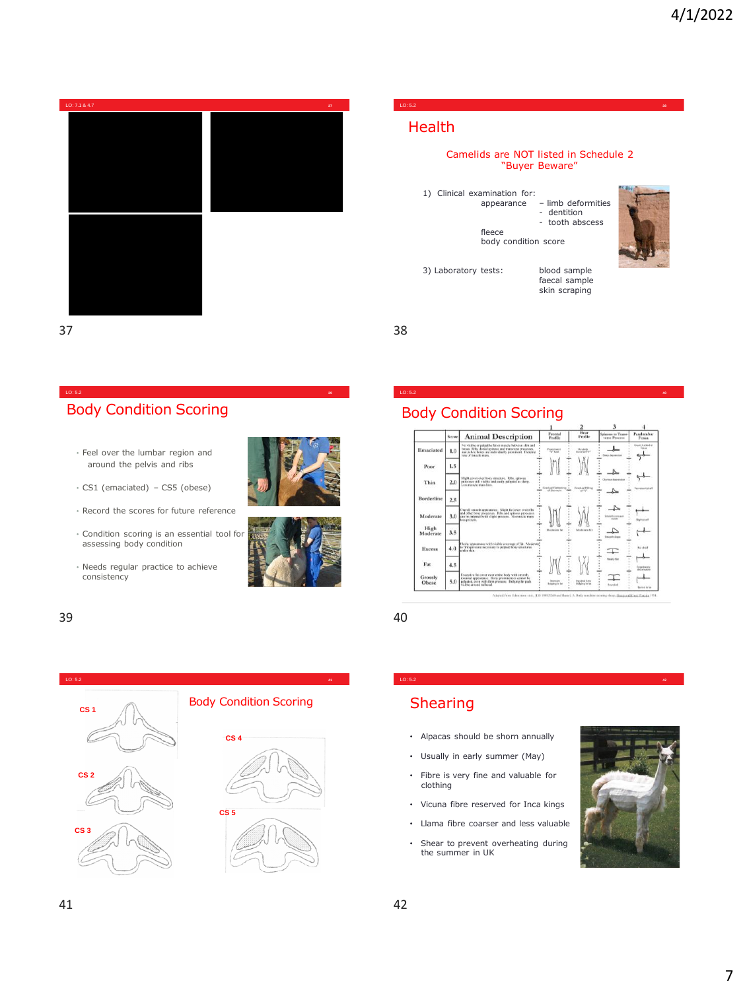

LO: 5.2 **<sup>39</sup>**

## Body Condition Scoring

- Feel over the lumbar region and around the pelvis and ribs
- CS1 (emaciated) CS5 (obese)
- Record the scores for future reference
- Condition scoring is an essential tool for assessing body condition
- Needs regular practice to achieve consistency





#### 39 40



#### LO: 5.2 **<sup>38</sup>**

## Health

#### Camelids are NOT listed in Schedule 2 "Buyer Beware"

1) Clinical examination for: appearance – limb deformities - dentition - tooth abscess fleece body condition score



3) Laboratory tests: blood sample

faecal sample skin scraping

 $37$  38

### Body Condition Scoring



LO: 5.2 **<sup>42</sup>**

LO: 5.2 **<sup>40</sup>**





## **Shearing**

- Alpacas should be shorn annually
- Usually in early summer (May)
- Fibre is very fine and valuable for clothing
- Vicuna fibre reserved for Inca kings
- Llama fibre coarser and less valuable
- Shear to prevent overheating during the summer in UK

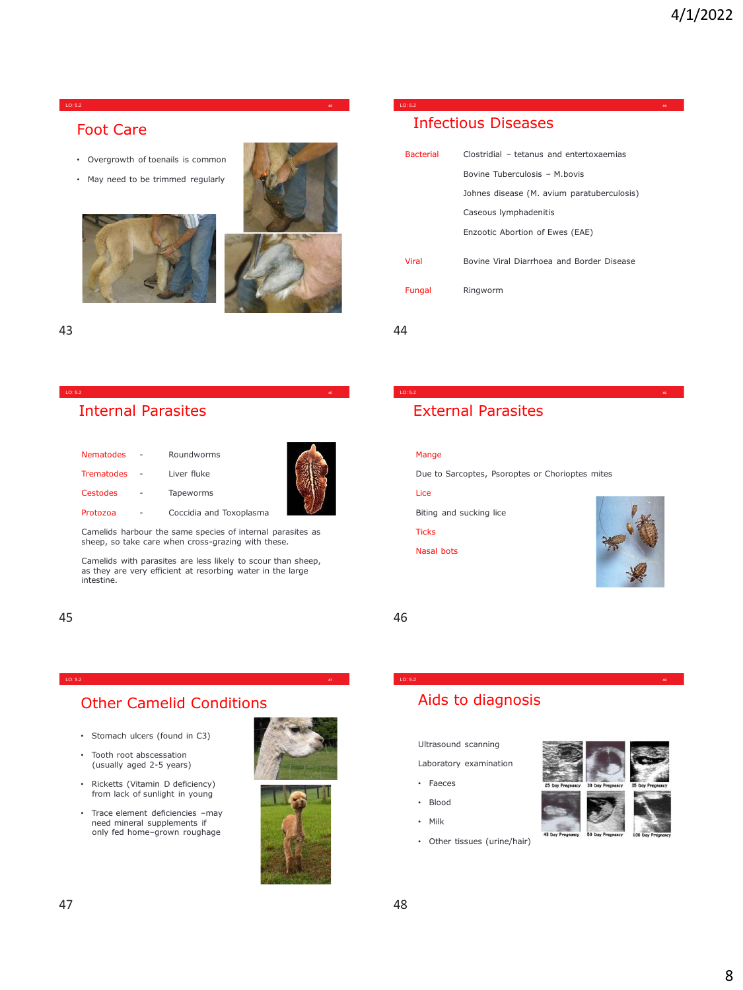#### LO: 5.2 **<sup>43</sup>**

### Foot Care

- Overgrowth of toenails is common
- May need to be trimmed regularly





### Internal Parasites

| Nematodes         | Roundworms              |
|-------------------|-------------------------|
| <b>Trematodes</b> | Liver fluke             |
| Cestodes          | Tapeworms               |
| Protozoa          | Coccidia and Toxoplasma |



Camelids harbour the same species of internal parasites as sheep, so take care when cross-grazing with these.

LO: 5.2 **<sup>45</sup>**

Camelids with parasites are less likely to scour than sheep, as they are very efficient at resorbing water in the large intestine.

LO: 5.2 **<sup>47</sup>**

45 46

## Other Camelid Conditions

- Stomach ulcers (found in C3)
- Tooth root abscessation (usually aged 2-5 years)
- Ricketts (Vitamin D deficiency) from lack of sunlight in young
- Trace element deficiencies –may need mineral supplements if only fed home–grown roughage





## Infectious Diseases

| <b>Bacterial</b> | Clostridial - tetanus and entertoxaemias   |
|------------------|--------------------------------------------|
|                  | Bovine Tuberculosis - M.bovis              |
|                  | Johnes disease (M. avium paratuberculosis) |
|                  | Caseous lymphadenitis                      |
|                  | Enzootic Abortion of Ewes (EAE)            |
| <b>Viral</b>     | Bovine Viral Diarrhoea and Border Disease  |
| Fungal           | Ringworm                                   |
|                  |                                            |

LO: 5.2 **<sup>44</sup>**

43 44

## External Parasites

#### Mange

Due to Sarcoptes, Psoroptes or Chorioptes mites

LO: 5.2 **<sup>46</sup>**

LO: 5.2 **<sup>48</sup>**

#### Lice

Biting and sucking lice

#### Ticks

Nasal bots



## Aids to diagnosis

Ultrasound scanning

Laboratory examination

- Faeces
- Blood
- Milk
- Other tissues (urine/hair)

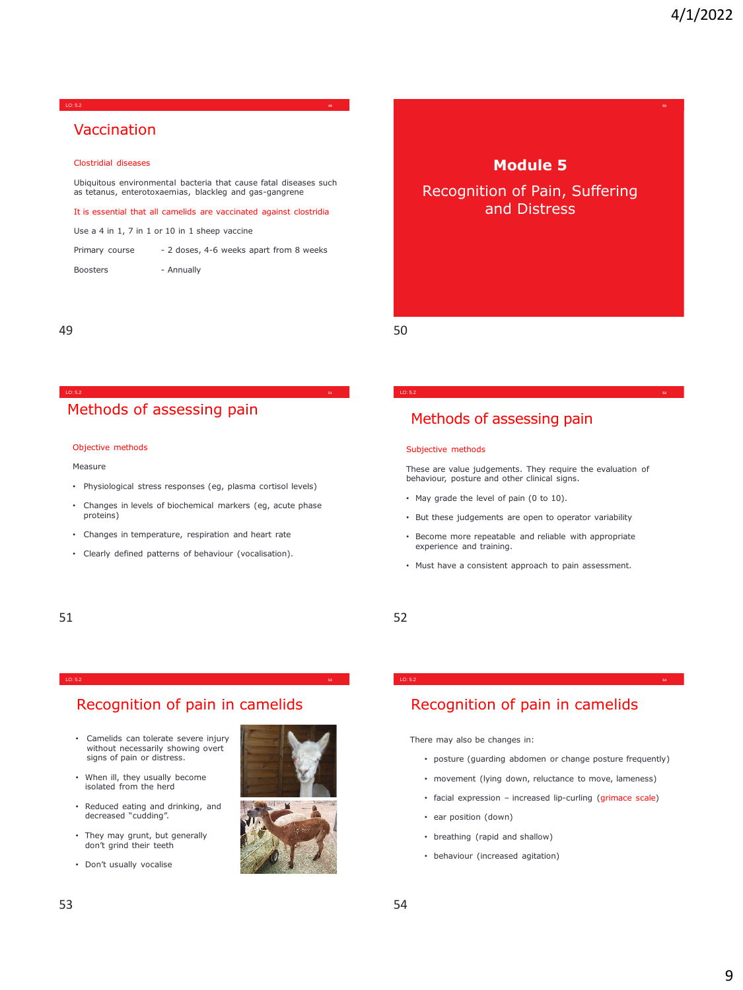#### LO: 5.2 **<sup>49</sup>**

## Vaccination

#### Clostridial diseases

Ubiquitous environmental bacteria that cause fatal diseases such as tetanus, enterotoxaemias, blackleg and gas-gangrene

It is essential that all camelids are vaccinated against clostridia

Use a 4 in 1, 7 in 1 or 10 in 1 sheep vaccine

| Primary course | - 2 doses, 4-6 weeks apart from 8 weeks |  |  |
|----------------|-----------------------------------------|--|--|
|                |                                         |  |  |

Boosters - Annually

49 50

### Methods of assessing pain

#### Objective methods

#### Measure

• Physiological stress responses (eg, plasma cortisol levels)

LO: 5.2 **<sup>51</sup>**

- Changes in levels of biochemical markers (eg, acute phase proteins)
- Changes in temperature, respiration and heart rate
- Clearly defined patterns of behaviour (vocalisation).

# **Module 5**

Recognition of Pain, Suffering and Distress

#### Methods of assessing pain

#### Subjective methods

These are value judgements. They require the evaluation of behaviour, posture and other clinical signs.

LO: 5.2 **<sup>52</sup>**

- May grade the level of pain (0 to 10).
- But these judgements are open to operator variability
- Become more repeatable and reliable with appropriate experience and training.
- Must have a consistent approach to pain assessment.

#### 51 52

#### Recognition of pain in camelids

LO: 5.2 **<sup>53</sup>**

- Camelids can tolerate severe injury without necessarily showing overt signs of pain or distress.
- When ill, they usually become isolated from the herd
- Reduced eating and drinking, and decreased "cudding".
- They may grunt, but generally don't grind their teeth
- Don't usually vocalise





## Recognition of pain in camelids

LO: 5.2 **<sup>54</sup>**

There may also be changes in:

- posture (guarding abdomen or change posture frequently)
- movement (lying down, reluctance to move, lameness)
- facial expression increased lip-curling (grimace scale)
- ear position (down)
- breathing (rapid and shallow)
- behaviour (increased agitation)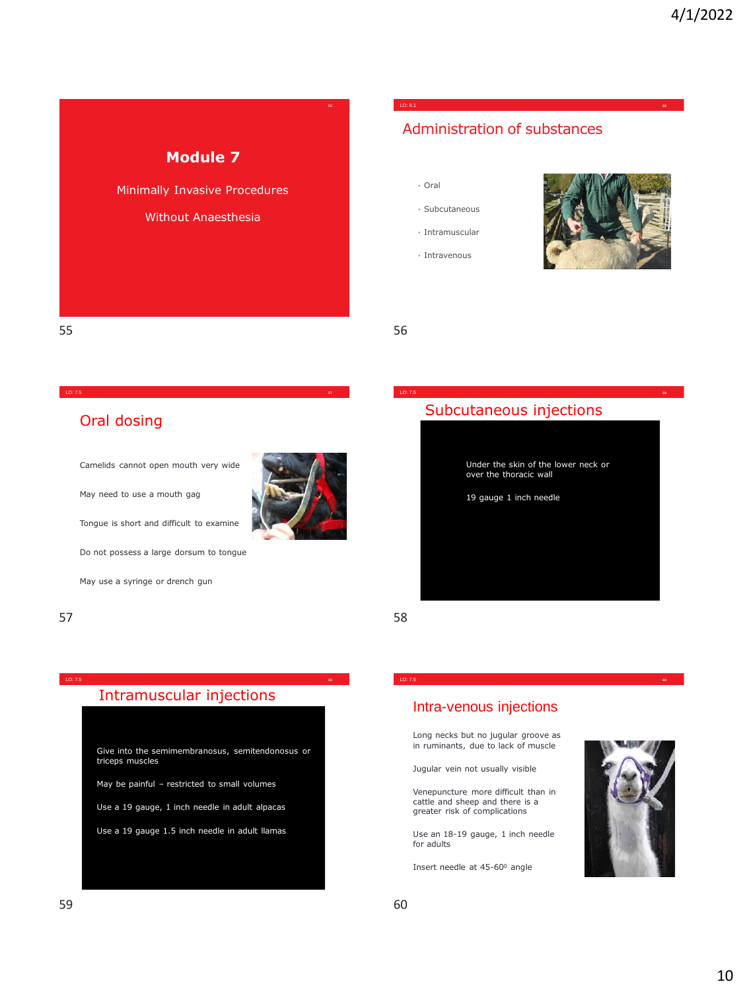## **Module 7**

Minimally Invasive Procedures

#### Without Anaesthesia

## Administration of substances

- Oral
- Subcutaneous
- Intramuscular
- Intravenous



55 56

#### LO: 7.5 **<sup>57</sup>**

## Oral dosing

Camelids cannot open mouth very wide

May need to use a mouth gag

Tongue is short and difficult to examine

Do not possess a large dorsum to tongue

May use a syringe or drench gun

#### $57$  58

## Intramuscular injections

LO: 7.5 **<sup>59</sup>**

Give into the semimembranosus, semitendonosus or triceps muscles

May be painful – restricted to small volumes

Use a 19 gauge, 1 inch needle in adult alpacas

Use a 19 gauge 1.5 inch needle in adult llamas



## Subcutaneous injections

LO: 7.5 **<sup>58</sup>**



LO: 7.5 **<sup>60</sup>**

#### Intra-venous injections

Long necks but no jugular groove as in ruminants, due to lack of muscle

Jugular vein not usually visible

Venepuncture more difficult than in cattle and sheep and there is a greater risk of complications

Use an 18-19 gauge, 1 inch needle for adults

Insert needle at 45-60<sup>0</sup> angle

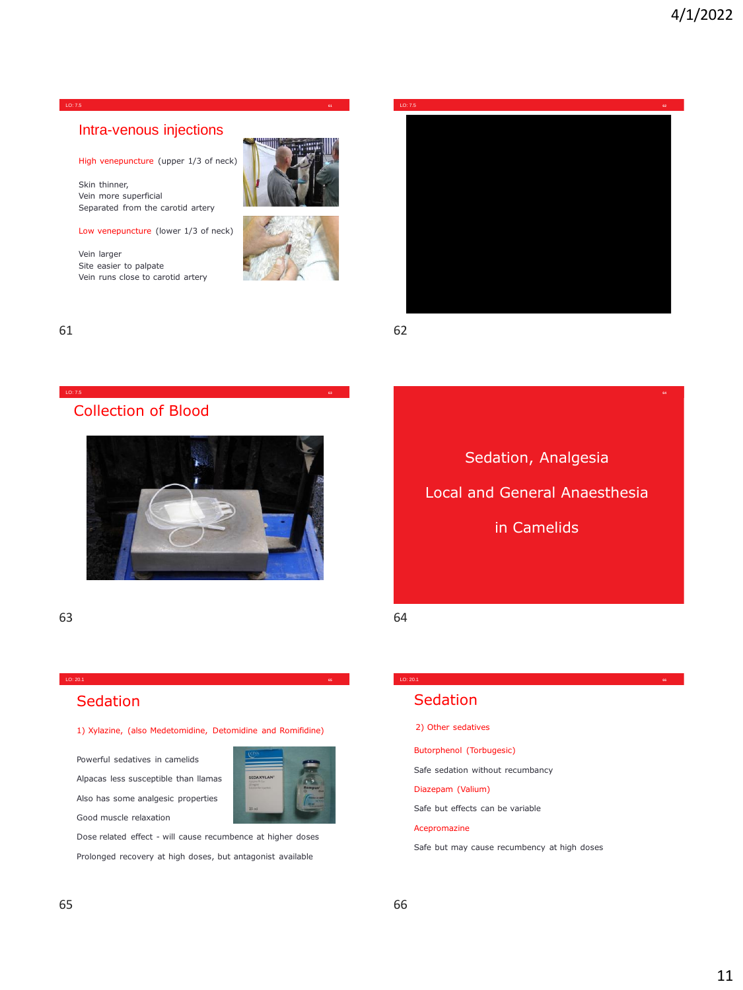**64**

#### Intra-venous injections

High venepuncture (upper 1/3 of neck)

Skin thinner, Vein more superficial Separated from the carotid artery

Low venepuncture (lower 1/3 of neck)

Vein larger Site easier to palpate Vein runs close to carotid artery







61 62

## Collection of Blood

![](_page_10_Picture_13.jpeg)

LO: 7.5 **<sup>63</sup>**

63 64

# Sedation, Analgesia Local and General Anaesthesia in Camelids

LO: 20.1 **<sup>66</sup>**

## **Sedation**

1) Xylazine, (also Medetomidine, Detomidine and Romifidine)

LO: 20.1 **<sup>65</sup>**

Powerful sedatives in camelids Alpacas less susceptible than llamas Also has some analgesic properties Good muscle relaxation

![](_page_10_Picture_20.jpeg)

Dose related effect - will cause recumbence at higher doses Prolonged recovery at high doses, but antagonist available

#### Sedation

2) Other sedatives

Butorphenol (Torbugesic)

Safe sedation without recumbancy

Diazepam (Valium)

Safe but effects can be variable

#### Acepromazine

Safe but may cause recumbency at high doses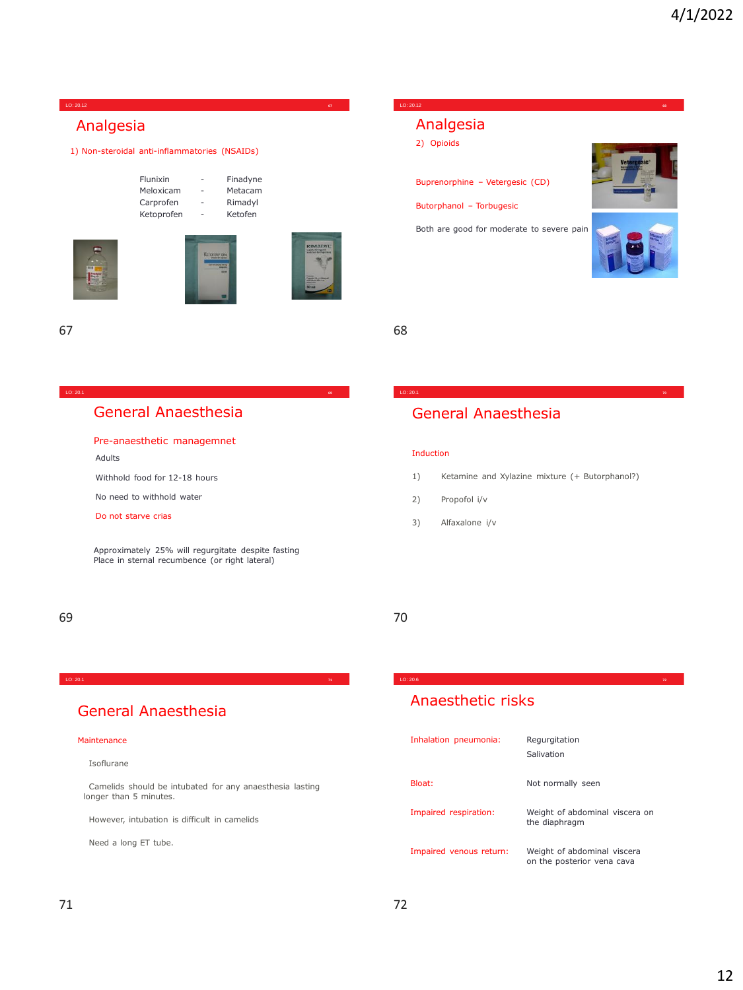#### Flunixin - Finadyne Meloxicam - Metacam Carprofen - Rimadyl Ketoprofen - Ketofen 1) Non-steroidal anti-inflammatories (NSAIDs) Analgesia LO: 20.12 **<sup>67</sup>** Buprenorphine – Vetergesic (CD) Butorphanol – Torbugesic Both are good for moderate to severe pain 2) Opioids Analgesia LO: 20.12 **<sup>68</sup>**

67 68

LO: 20.1 **<sup>69</sup>**

## General Anaesthesia

#### Pre-anaesthetic managemnet

Adults

Withhold food for 12-18 hours

No need to withhold water

Do not starve crias

Approximately 25% will regurgitate despite fasting Place in sternal recumbence (or right lateral)

### 69 70

Induction

2) Propofol i/v 3) Alfaxalone i/v

#### LO: 20.1 **<sup>71</sup>**

### General Anaesthesia

#### Maintenance

Isoflurane

Camelids should be intubated for any anaesthesia lasting longer than 5 minutes.

However, intubation is difficult in camelids

Need a long ET tube.

## Anaesthetic risks

| Inhalation pneumonia:   | Regurgitation<br>Salivation                               |
|-------------------------|-----------------------------------------------------------|
| Bloat:                  | Not normally seen                                         |
| Impaired respiration:   | Weight of abdominal viscera on<br>the diaphragm           |
| Impaired venous return: | Weight of abdominal viscera<br>on the posterior yena cava |

LO: 20.6 **<sup>72</sup>**

1) Ketamine and Xylazine mixture (+ Butorphanol?)

LO: 20.1 **<sup>70</sup>**

General Anaesthesia